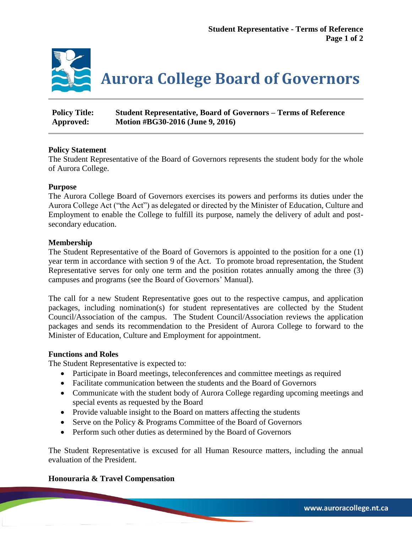

| <b>Policy Title:</b> | <b>Student Representative, Board of Governors – Terms of Reference</b> |
|----------------------|------------------------------------------------------------------------|
| Approved:            | Motion #BG30-2016 (June 9, 2016)                                       |

# **Policy Statement**

The Student Representative of the Board of Governors represents the student body for the whole of Aurora College.

# **Purpose**

The Aurora College Board of Governors exercises its powers and performs its duties under the Aurora College Act ("the Act") as delegated or directed by the Minister of Education, Culture and Employment to enable the College to fulfill its purpose, namely the delivery of adult and postsecondary education.

# **Membership**

The Student Representative of the Board of Governors is appointed to the position for a one (1) year term in accordance with section 9 of the Act. To promote broad representation, the Student Representative serves for only one term and the position rotates annually among the three (3) campuses and programs (see the Board of Governors' Manual).

The call for a new Student Representative goes out to the respective campus, and application packages, including nomination(s) for student representatives are collected by the Student Council/Association of the campus. The Student Council/Association reviews the application packages and sends its recommendation to the President of Aurora College to forward to the Minister of Education, Culture and Employment for appointment.

### **Functions and Roles**

The Student Representative is expected to:

- Participate in Board meetings, teleconferences and committee meetings as required
- Facilitate communication between the students and the Board of Governors
- Communicate with the student body of Aurora College regarding upcoming meetings and special events as requested by the Board
- Provide valuable insight to the Board on matters affecting the students
- Serve on the Policy & Programs Committee of the Board of Governors
- Perform such other duties as determined by the Board of Governors

The Student Representative is excused for all Human Resource matters, including the annual evaluation of the President.

### **Honouraria & Travel Compensation**